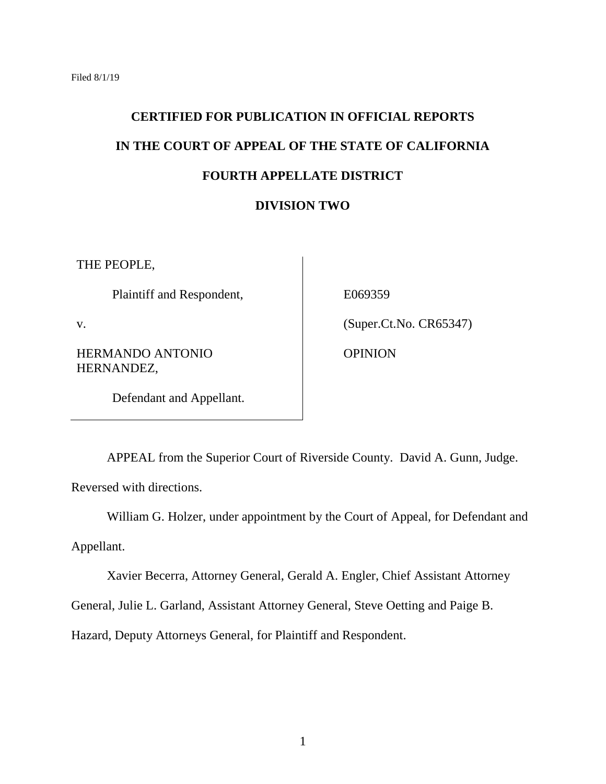## **CERTIFIED FOR PUBLICATION IN OFFICIAL REPORTS IN THE COURT OF APPEAL OF THE STATE OF CALIFORNIA FOURTH APPELLATE DISTRICT DIVISION TWO**

THE PEOPLE,

Plaintiff and Respondent,

E069359

v.

HERMANDO ANTONIO HERNANDEZ,

OPINION

(Super.Ct.No. CR65347)

Defendant and Appellant.

APPEAL from the Superior Court of Riverside County. David A. Gunn, Judge.

Reversed with directions.

William G. Holzer, under appointment by the Court of Appeal, for Defendant and

Appellant.

Xavier Becerra, Attorney General, Gerald A. Engler, Chief Assistant Attorney

General, Julie L. Garland, Assistant Attorney General, Steve Oetting and Paige B.

Hazard, Deputy Attorneys General, for Plaintiff and Respondent.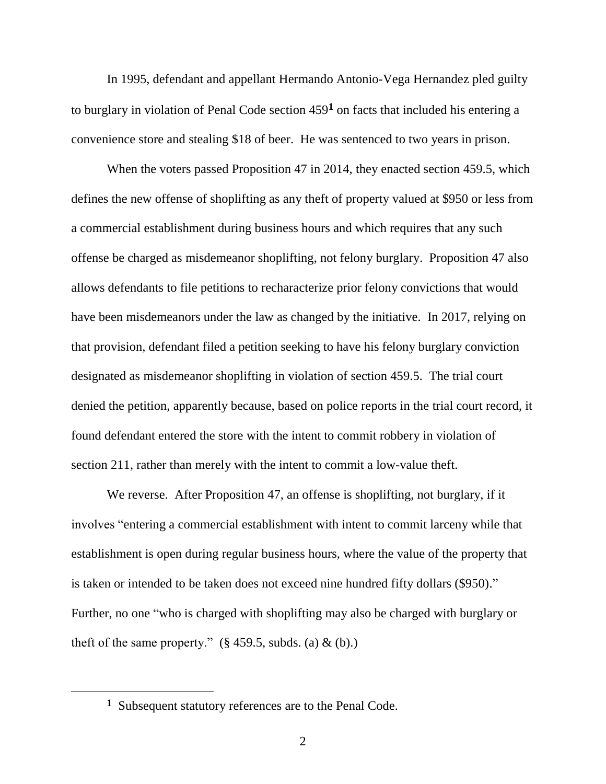In 1995, defendant and appellant Hermando Antonio-Vega Hernandez pled guilty to burglary in violation of Penal Code section 459**<sup>1</sup>** on facts that included his entering a convenience store and stealing \$18 of beer. He was sentenced to two years in prison.

When the voters passed Proposition 47 in 2014, they enacted section 459.5, which defines the new offense of shoplifting as any theft of property valued at \$950 or less from a commercial establishment during business hours and which requires that any such offense be charged as misdemeanor shoplifting, not felony burglary. Proposition 47 also allows defendants to file petitions to recharacterize prior felony convictions that would have been misdemeanors under the law as changed by the initiative. In 2017, relying on that provision, defendant filed a petition seeking to have his felony burglary conviction designated as misdemeanor shoplifting in violation of section 459.5. The trial court denied the petition, apparently because, based on police reports in the trial court record, it found defendant entered the store with the intent to commit robbery in violation of section 211, rather than merely with the intent to commit a low-value theft.

We reverse. After Proposition 47, an offense is shoplifting, not burglary, if it involves "entering a commercial establishment with intent to commit larceny while that establishment is open during regular business hours, where the value of the property that is taken or intended to be taken does not exceed nine hundred fifty dollars (\$950)." Further, no one "who is charged with shoplifting may also be charged with burglary or theft of the same property."  $(\S 459.5, \text{subds.} (a) \& (b))$ .

 $\overline{a}$ 

**<sup>1</sup>** Subsequent statutory references are to the Penal Code.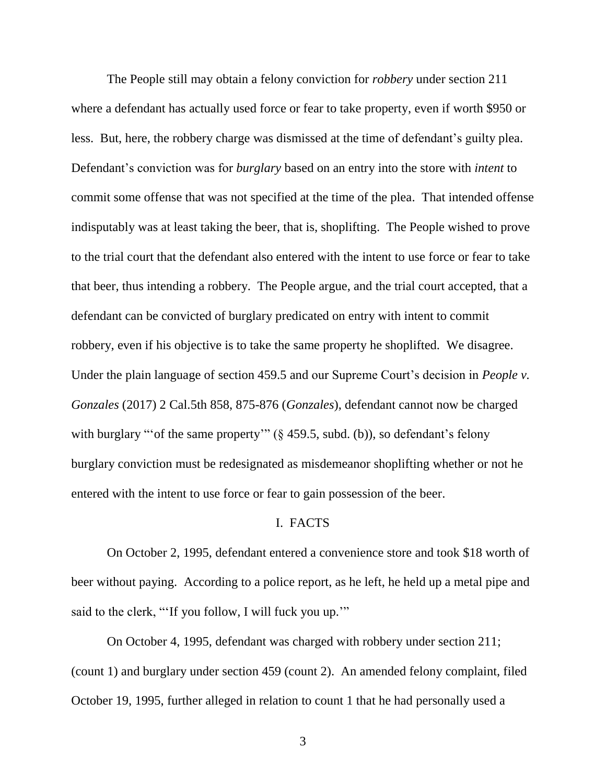The People still may obtain a felony conviction for *robbery* under section 211 where a defendant has actually used force or fear to take property, even if worth \$950 or less. But, here, the robbery charge was dismissed at the time of defendant's guilty plea. Defendant's conviction was for *burglary* based on an entry into the store with *intent* to commit some offense that was not specified at the time of the plea. That intended offense indisputably was at least taking the beer, that is, shoplifting. The People wished to prove to the trial court that the defendant also entered with the intent to use force or fear to take that beer, thus intending a robbery. The People argue, and the trial court accepted, that a defendant can be convicted of burglary predicated on entry with intent to commit robbery, even if his objective is to take the same property he shoplifted. We disagree. Under the plain language of section 459.5 and our Supreme Court's decision in *People v. Gonzales* (2017) 2 Cal.5th 858, 875-876 (*Gonzales*), defendant cannot now be charged with burglary "'of the same property'" (§ 459.5, subd. (b)), so defendant's felony burglary conviction must be redesignated as misdemeanor shoplifting whether or not he entered with the intent to use force or fear to gain possession of the beer.

## I. FACTS

On October 2, 1995, defendant entered a convenience store and took \$18 worth of beer without paying. According to a police report, as he left, he held up a metal pipe and said to the clerk, "'If you follow, I will fuck you up.""

On October 4, 1995, defendant was charged with robbery under section 211; (count 1) and burglary under section 459 (count 2). An amended felony complaint, filed October 19, 1995, further alleged in relation to count 1 that he had personally used a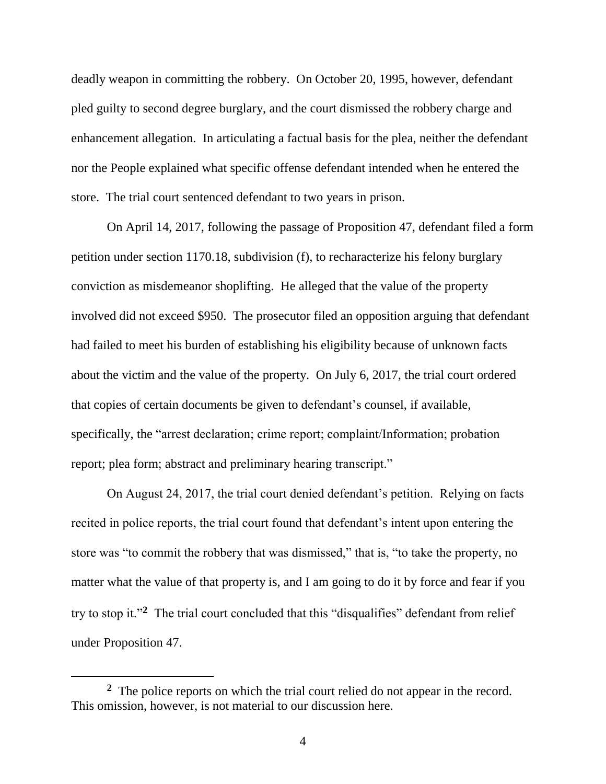deadly weapon in committing the robbery. On October 20, 1995, however, defendant pled guilty to second degree burglary, and the court dismissed the robbery charge and enhancement allegation. In articulating a factual basis for the plea, neither the defendant nor the People explained what specific offense defendant intended when he entered the store. The trial court sentenced defendant to two years in prison.

On April 14, 2017, following the passage of Proposition 47, defendant filed a form petition under section 1170.18, subdivision (f), to recharacterize his felony burglary conviction as misdemeanor shoplifting. He alleged that the value of the property involved did not exceed \$950. The prosecutor filed an opposition arguing that defendant had failed to meet his burden of establishing his eligibility because of unknown facts about the victim and the value of the property. On July 6, 2017, the trial court ordered that copies of certain documents be given to defendant's counsel, if available, specifically, the "arrest declaration; crime report; complaint/Information; probation report; plea form; abstract and preliminary hearing transcript."

On August 24, 2017, the trial court denied defendant's petition. Relying on facts recited in police reports, the trial court found that defendant's intent upon entering the store was "to commit the robbery that was dismissed," that is, "to take the property, no matter what the value of that property is, and I am going to do it by force and fear if you try to stop it."**<sup>2</sup>** The trial court concluded that this "disqualifies" defendant from relief under Proposition 47.

 $\overline{a}$ 

<sup>&</sup>lt;sup>2</sup> The police reports on which the trial court relied do not appear in the record. This omission, however, is not material to our discussion here.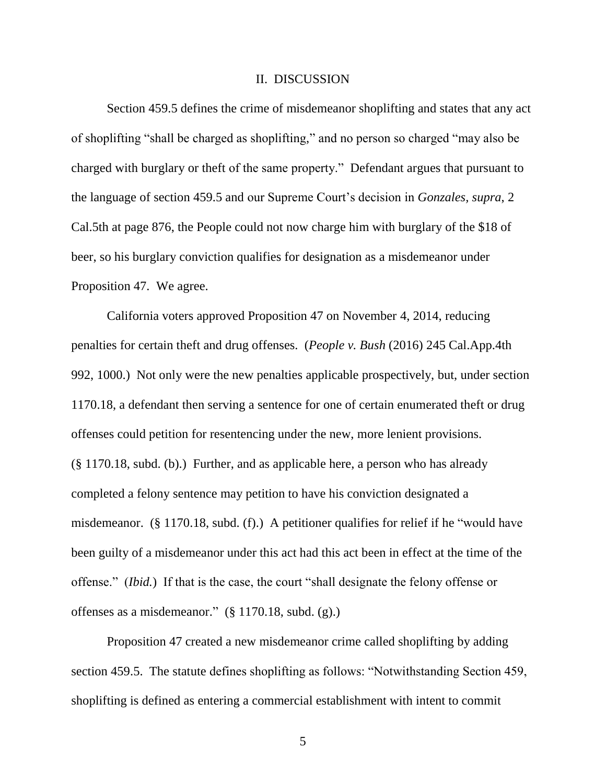## II. DISCUSSION

Section 459.5 defines the crime of misdemeanor shoplifting and states that any act of shoplifting "shall be charged as shoplifting," and no person so charged "may also be charged with burglary or theft of the same property." Defendant argues that pursuant to the language of section 459.5 and our Supreme Court's decision in *Gonzales, supra*, 2 Cal.5th at page 876, the People could not now charge him with burglary of the \$18 of beer, so his burglary conviction qualifies for designation as a misdemeanor under Proposition 47. We agree.

California voters approved Proposition 47 on November 4, 2014, reducing penalties for certain theft and drug offenses. (*People v. Bush* (2016) 245 Cal.App.4th 992, 1000.) Not only were the new penalties applicable prospectively, but, under section 1170.18, a defendant then serving a sentence for one of certain enumerated theft or drug offenses could petition for resentencing under the new, more lenient provisions. (§ 1170.18, subd. (b).) Further, and as applicable here, a person who has already completed a felony sentence may petition to have his conviction designated a misdemeanor. (§ 1170.18, subd. (f).) A petitioner qualifies for relief if he "would have been guilty of a misdemeanor under this act had this act been in effect at the time of the offense." (*Ibid.*) If that is the case, the court "shall designate the felony offense or offenses as a misdemeanor." (§ 1170.18, subd. (g).)

Proposition 47 created a new misdemeanor crime called shoplifting by adding section 459.5. The statute defines shoplifting as follows: "Notwithstanding Section 459, shoplifting is defined as entering a commercial establishment with intent to commit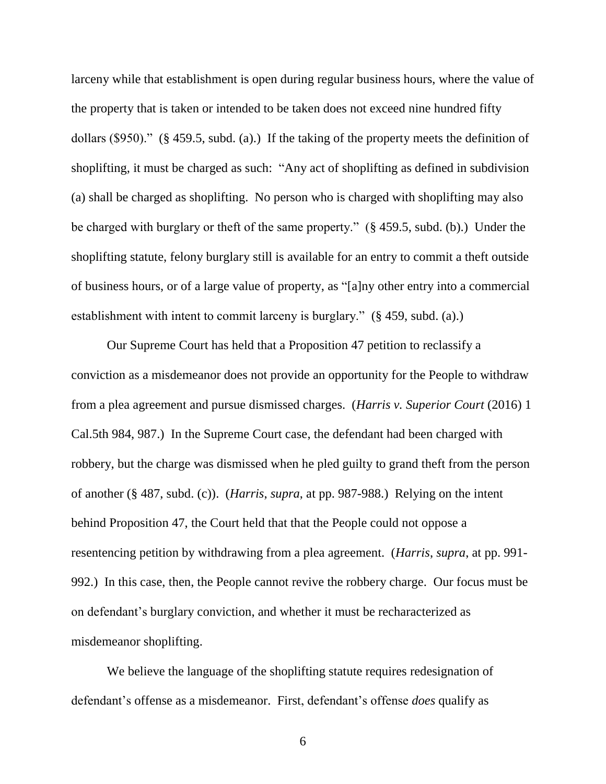larceny while that establishment is open during regular business hours, where the value of the property that is taken or intended to be taken does not exceed nine hundred fifty dollars (\$950)." (§ 459.5, subd. (a).) If the taking of the property meets the definition of shoplifting, it must be charged as such: "Any act of shoplifting as defined in subdivision (a) shall be charged as shoplifting. No person who is charged with shoplifting may also be charged with burglary or theft of the same property." (§ 459.5, subd. (b).) Under the shoplifting statute, felony burglary still is available for an entry to commit a theft outside of business hours, or of a large value of property, as "[a]ny other entry into a commercial establishment with intent to commit larceny is burglary." (§ 459, subd. (a).)

Our Supreme Court has held that a Proposition 47 petition to reclassify a conviction as a misdemeanor does not provide an opportunity for the People to withdraw from a plea agreement and pursue dismissed charges. (*Harris v. Superior Court* (2016) 1 Cal.5th 984, 987.) In the Supreme Court case, the defendant had been charged with robbery, but the charge was dismissed when he pled guilty to grand theft from the person of another (§ 487, subd. (c)). (*Harris*, *supra*, at pp. 987-988.) Relying on the intent behind Proposition 47, the Court held that that the People could not oppose a resentencing petition by withdrawing from a plea agreement. (*Harris*, *supra*, at pp. 991- 992.) In this case, then, the People cannot revive the robbery charge. Our focus must be on defendant's burglary conviction, and whether it must be recharacterized as misdemeanor shoplifting.

We believe the language of the shoplifting statute requires redesignation of defendant's offense as a misdemeanor. First, defendant's offense *does* qualify as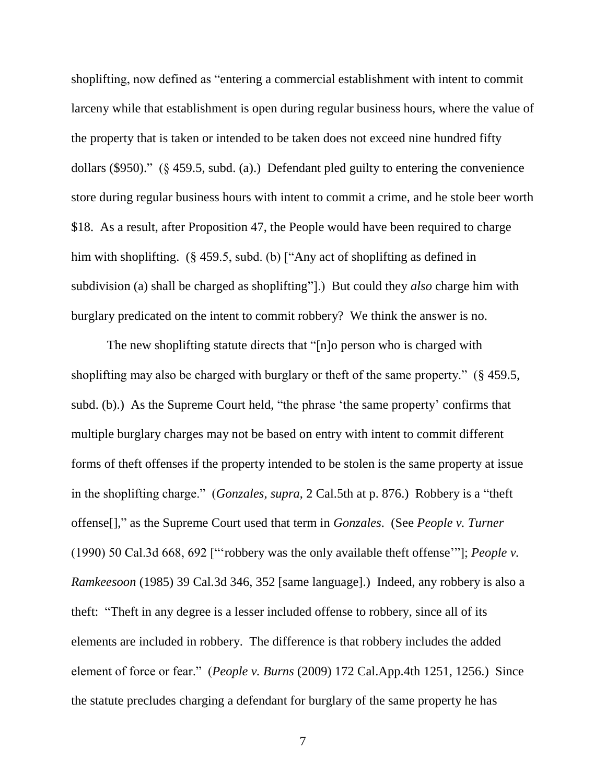shoplifting, now defined as "entering a commercial establishment with intent to commit larceny while that establishment is open during regular business hours, where the value of the property that is taken or intended to be taken does not exceed nine hundred fifty dollars (\$950)." (§ 459.5, subd. (a).) Defendant pled guilty to entering the convenience store during regular business hours with intent to commit a crime, and he stole beer worth \$18. As a result, after Proposition 47, the People would have been required to charge him with shoplifting. (§ 459.5, subd. (b) ["Any act of shoplifting as defined in subdivision (a) shall be charged as shoplifting"].) But could they *also* charge him with burglary predicated on the intent to commit robbery? We think the answer is no.

The new shoplifting statute directs that "[n]o person who is charged with shoplifting may also be charged with burglary or theft of the same property." (§ 459.5, subd. (b).) As the Supreme Court held, "the phrase 'the same property' confirms that multiple burglary charges may not be based on entry with intent to commit different forms of theft offenses if the property intended to be stolen is the same property at issue in the shoplifting charge." (*Gonzales*, *supra*, 2 Cal.5th at p. 876.) Robbery is a "theft offense[]," as the Supreme Court used that term in *Gonzales*. (See *People v. Turner* (1990) 50 Cal.3d 668, 692 ["'robbery was the only available theft offense'"]; *People v. Ramkeesoon* (1985) 39 Cal.3d 346, 352 [same language].) Indeed, any robbery is also a theft: "Theft in any degree is a lesser included offense to robbery, since all of its elements are included in robbery. The difference is that robbery includes the added element of force or fear." (*People v. Burns* (2009) 172 Cal.App.4th 1251, 1256.) Since the statute precludes charging a defendant for burglary of the same property he has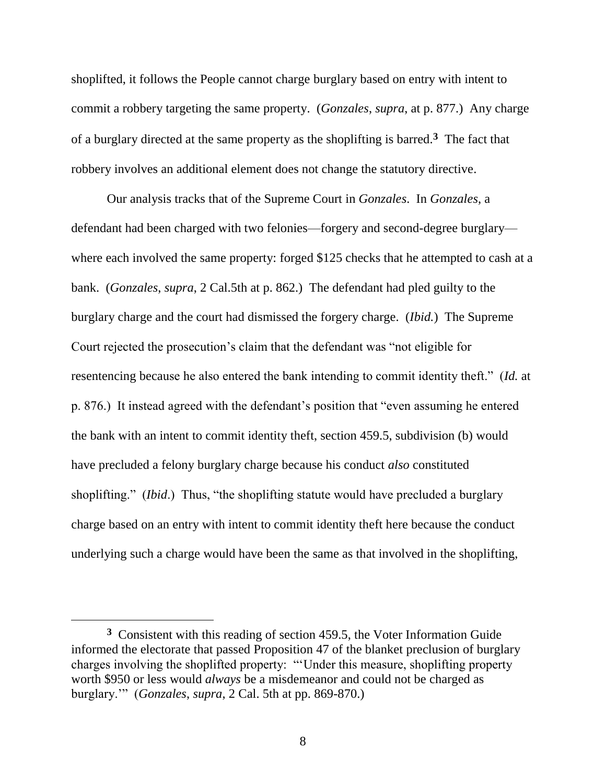shoplifted, it follows the People cannot charge burglary based on entry with intent to commit a robbery targeting the same property. (*Gonzales*, *supra*, at p. 877.) Any charge of a burglary directed at the same property as the shoplifting is barred.**<sup>3</sup>** The fact that robbery involves an additional element does not change the statutory directive.

Our analysis tracks that of the Supreme Court in *Gonzales*. In *Gonzales*, a defendant had been charged with two felonies—forgery and second-degree burglary where each involved the same property: forged \$125 checks that he attempted to cash at a bank. (*Gonzales*, *supra*, 2 Cal.5th at p. 862.) The defendant had pled guilty to the burglary charge and the court had dismissed the forgery charge. (*Ibid.*) The Supreme Court rejected the prosecution's claim that the defendant was "not eligible for resentencing because he also entered the bank intending to commit identity theft." (*Id.* at p. 876.) It instead agreed with the defendant's position that "even assuming he entered the bank with an intent to commit identity theft, section 459.5, subdivision (b) would have precluded a felony burglary charge because his conduct *also* constituted shoplifting." (*Ibid*.) Thus, "the shoplifting statute would have precluded a burglary charge based on an entry with intent to commit identity theft here because the conduct underlying such a charge would have been the same as that involved in the shoplifting,

<sup>&</sup>lt;sup>3</sup> Consistent with this reading of section 459.5, the Voter Information Guide informed the electorate that passed Proposition 47 of the blanket preclusion of burglary charges involving the shoplifted property: "'Under this measure, shoplifting property worth \$950 or less would *always* be a misdemeanor and could not be charged as burglary.'" (*Gonzales*, *supra*, 2 Cal. 5th at pp. 869-870.)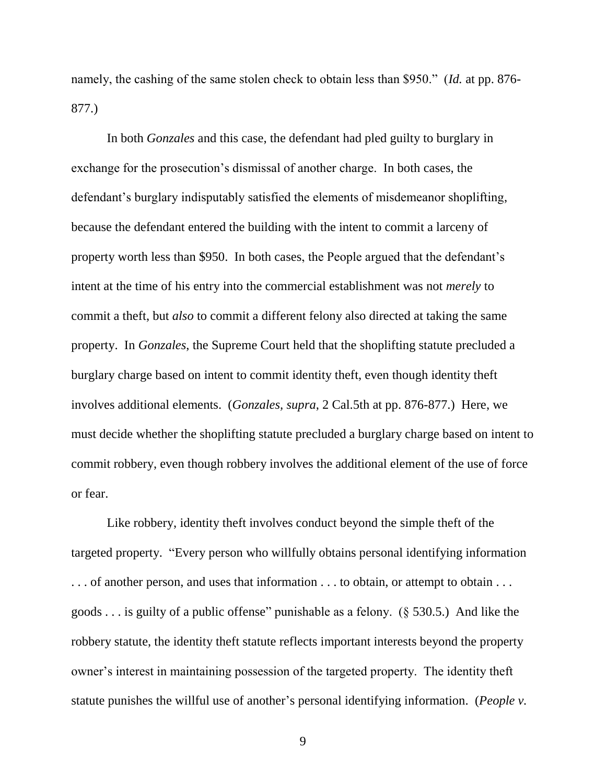namely, the cashing of the same stolen check to obtain less than \$950." (*Id.* at pp. 876- 877.)

In both *Gonzales* and this case, the defendant had pled guilty to burglary in exchange for the prosecution's dismissal of another charge. In both cases, the defendant's burglary indisputably satisfied the elements of misdemeanor shoplifting, because the defendant entered the building with the intent to commit a larceny of property worth less than \$950. In both cases, the People argued that the defendant's intent at the time of his entry into the commercial establishment was not *merely* to commit a theft, but *also* to commit a different felony also directed at taking the same property. In *Gonzales*, the Supreme Court held that the shoplifting statute precluded a burglary charge based on intent to commit identity theft, even though identity theft involves additional elements. (*Gonzales, supra*, 2 Cal.5th at pp. 876-877.) Here, we must decide whether the shoplifting statute precluded a burglary charge based on intent to commit robbery, even though robbery involves the additional element of the use of force or fear.

Like robbery, identity theft involves conduct beyond the simple theft of the targeted property. "Every person who willfully obtains personal identifying information . . . of another person, and uses that information . . . to obtain, or attempt to obtain . . . goods . . . is guilty of a public offense" punishable as a felony. (§ 530.5.) And like the robbery statute, the identity theft statute reflects important interests beyond the property owner's interest in maintaining possession of the targeted property. The identity theft statute punishes the willful use of another's personal identifying information. (*People v.*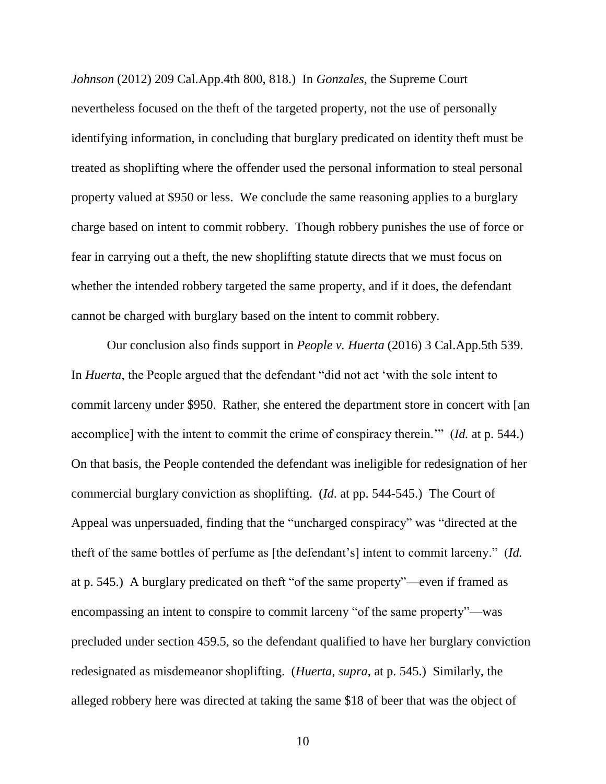*Johnson* (2012) 209 Cal.App.4th 800, 818.) In *Gonzales*, the Supreme Court nevertheless focused on the theft of the targeted property, not the use of personally identifying information, in concluding that burglary predicated on identity theft must be treated as shoplifting where the offender used the personal information to steal personal property valued at \$950 or less. We conclude the same reasoning applies to a burglary charge based on intent to commit robbery. Though robbery punishes the use of force or fear in carrying out a theft, the new shoplifting statute directs that we must focus on whether the intended robbery targeted the same property, and if it does, the defendant cannot be charged with burglary based on the intent to commit robbery.

Our conclusion also finds support in *People v. Huerta* (2016) 3 Cal.App.5th 539. In *Huerta*, the People argued that the defendant "did not act 'with the sole intent to commit larceny under \$950. Rather, she entered the department store in concert with [an accomplice] with the intent to commit the crime of conspiracy therein.'" (*Id.* at p. 544.) On that basis, the People contended the defendant was ineligible for redesignation of her commercial burglary conviction as shoplifting. (*Id*. at pp. 544-545.) The Court of Appeal was unpersuaded, finding that the "uncharged conspiracy" was "directed at the theft of the same bottles of perfume as [the defendant's] intent to commit larceny." (*Id.* at p. 545.) A burglary predicated on theft "of the same property"—even if framed as encompassing an intent to conspire to commit larceny "of the same property"—was precluded under section 459.5, so the defendant qualified to have her burglary conviction redesignated as misdemeanor shoplifting. (*Huerta*, *supra*, at p. 545.) Similarly, the alleged robbery here was directed at taking the same \$18 of beer that was the object of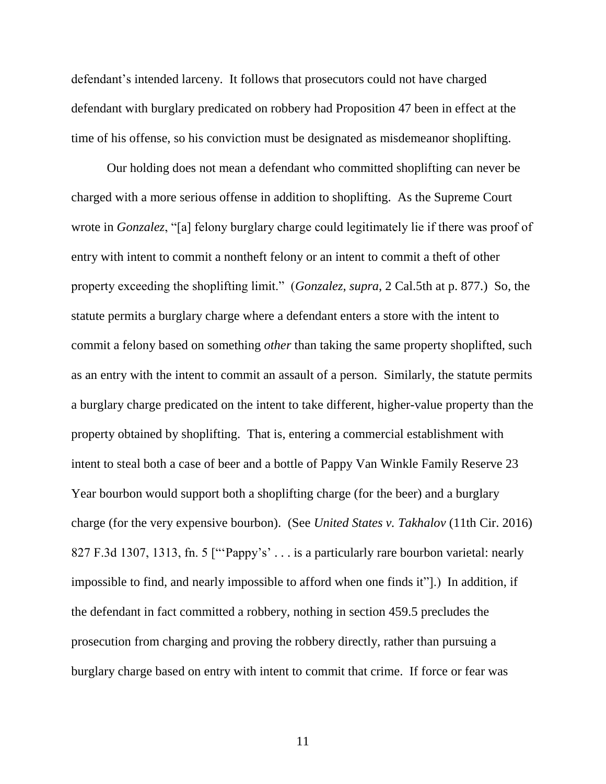defendant's intended larceny. It follows that prosecutors could not have charged defendant with burglary predicated on robbery had Proposition 47 been in effect at the time of his offense, so his conviction must be designated as misdemeanor shoplifting.

Our holding does not mean a defendant who committed shoplifting can never be charged with a more serious offense in addition to shoplifting. As the Supreme Court wrote in *Gonzalez*, "[a] felony burglary charge could legitimately lie if there was proof of entry with intent to commit a nontheft felony or an intent to commit a theft of other property exceeding the shoplifting limit." (*Gonzalez*, *supra*, 2 Cal.5th at p. 877.)So, the statute permits a burglary charge where a defendant enters a store with the intent to commit a felony based on something *other* than taking the same property shoplifted, such as an entry with the intent to commit an assault of a person. Similarly, the statute permits a burglary charge predicated on the intent to take different, higher-value property than the property obtained by shoplifting. That is, entering a commercial establishment with intent to steal both a case of beer and a bottle of Pappy Van Winkle Family Reserve 23 Year bourbon would support both a shoplifting charge (for the beer) and a burglary charge (for the very expensive bourbon). (See *United States v. Takhalov* (11th Cir. 2016) 827 F.3d 1307, 1313, fn. 5 ["Pappy's' . . . is a particularly rare bourbon varietal: nearly impossible to find, and nearly impossible to afford when one finds it"].) In addition, if the defendant in fact committed a robbery, nothing in section 459.5 precludes the prosecution from charging and proving the robbery directly, rather than pursuing a burglary charge based on entry with intent to commit that crime. If force or fear was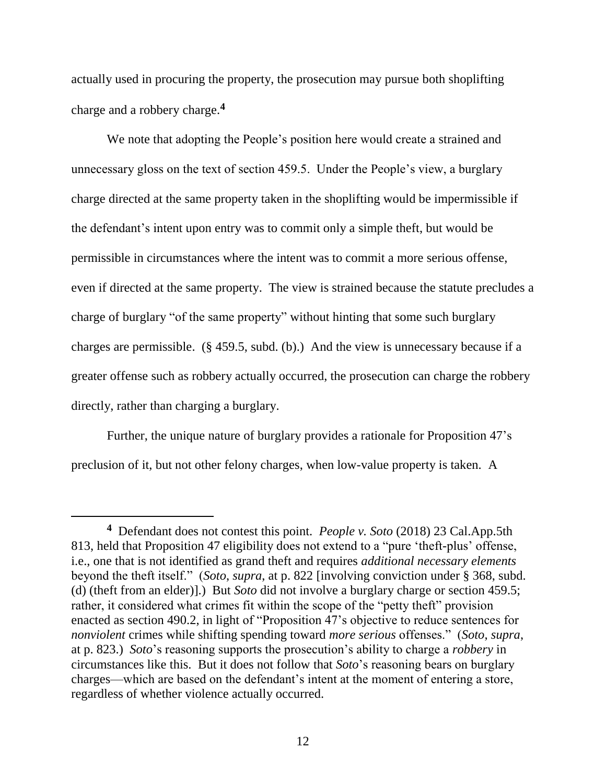actually used in procuring the property, the prosecution may pursue both shoplifting charge and a robbery charge.**<sup>4</sup>**

We note that adopting the People's position here would create a strained and unnecessary gloss on the text of section 459.5. Under the People's view, a burglary charge directed at the same property taken in the shoplifting would be impermissible if the defendant's intent upon entry was to commit only a simple theft, but would be permissible in circumstances where the intent was to commit a more serious offense, even if directed at the same property. The view is strained because the statute precludes a charge of burglary "of the same property" without hinting that some such burglary charges are permissible. (§ 459.5, subd. (b).) And the view is unnecessary because if a greater offense such as robbery actually occurred, the prosecution can charge the robbery directly, rather than charging a burglary.

Further, the unique nature of burglary provides a rationale for Proposition 47's preclusion of it, but not other felony charges, when low-value property is taken. A

 $\overline{a}$ 

**<sup>4</sup>** Defendant does not contest this point. *People v. Soto* (2018) 23 Cal.App.5th 813, held that Proposition 47 eligibility does not extend to a "pure 'theft-plus' offense, i.e., one that is not identified as grand theft and requires *additional necessary elements* beyond the theft itself." (*Soto*, *supra*, at p. 822 [involving conviction under § 368, subd. (d) (theft from an elder)].) But *Soto* did not involve a burglary charge or section 459.5; rather, it considered what crimes fit within the scope of the "petty theft" provision enacted as section 490.2, in light of "Proposition 47's objective to reduce sentences for *nonviolent* crimes while shifting spending toward *more serious* offenses." (*Soto*, *supra*, at p. 823.) *Soto*'s reasoning supports the prosecution's ability to charge a *robbery* in circumstances like this. But it does not follow that *Soto*'s reasoning bears on burglary charges—which are based on the defendant's intent at the moment of entering a store, regardless of whether violence actually occurred.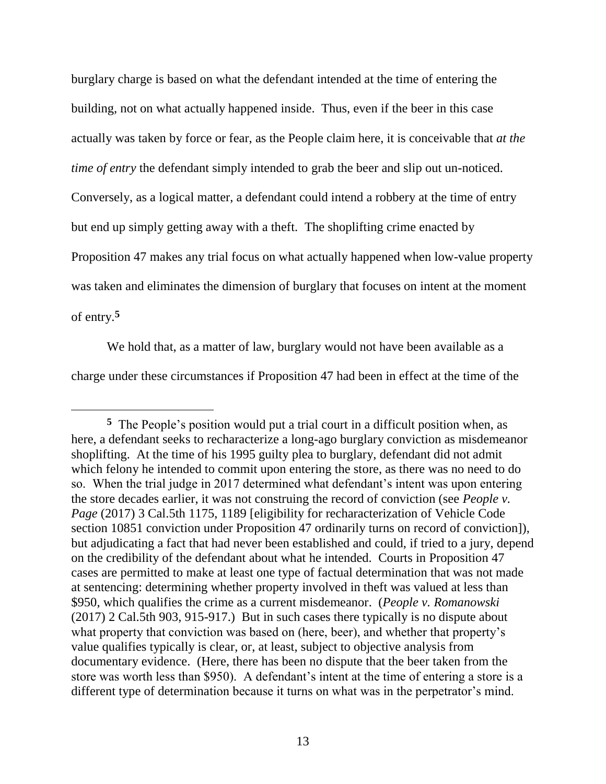burglary charge is based on what the defendant intended at the time of entering the building, not on what actually happened inside. Thus, even if the beer in this case actually was taken by force or fear, as the People claim here, it is conceivable that *at the time of entry* the defendant simply intended to grab the beer and slip out un-noticed. Conversely, as a logical matter, a defendant could intend a robbery at the time of entry but end up simply getting away with a theft. The shoplifting crime enacted by Proposition 47 makes any trial focus on what actually happened when low-value property was taken and eliminates the dimension of burglary that focuses on intent at the moment of entry.**<sup>5</sup>**

We hold that, as a matter of law, burglary would not have been available as a charge under these circumstances if Proposition 47 had been in effect at the time of the

**<sup>5</sup>** The People's position would put a trial court in a difficult position when, as here, a defendant seeks to recharacterize a long-ago burglary conviction as misdemeanor shoplifting. At the time of his 1995 guilty plea to burglary, defendant did not admit which felony he intended to commit upon entering the store, as there was no need to do so. When the trial judge in 2017 determined what defendant's intent was upon entering the store decades earlier, it was not construing the record of conviction (see *People v. Page* (2017) 3 Cal.5th 1175, 1189 [eligibility for recharacterization of Vehicle Code section 10851 conviction under Proposition 47 ordinarily turns on record of conviction]), but adjudicating a fact that had never been established and could, if tried to a jury, depend on the credibility of the defendant about what he intended. Courts in Proposition 47 cases are permitted to make at least one type of factual determination that was not made at sentencing: determining whether property involved in theft was valued at less than \$950, which qualifies the crime as a current misdemeanor. (*People v. Romanowski* (2017) 2 Cal.5th 903, 915-917.) But in such cases there typically is no dispute about what property that conviction was based on (here, beer), and whether that property's value qualifies typically is clear, or, at least, subject to objective analysis from documentary evidence. (Here, there has been no dispute that the beer taken from the store was worth less than \$950). A defendant's intent at the time of entering a store is a different type of determination because it turns on what was in the perpetrator's mind.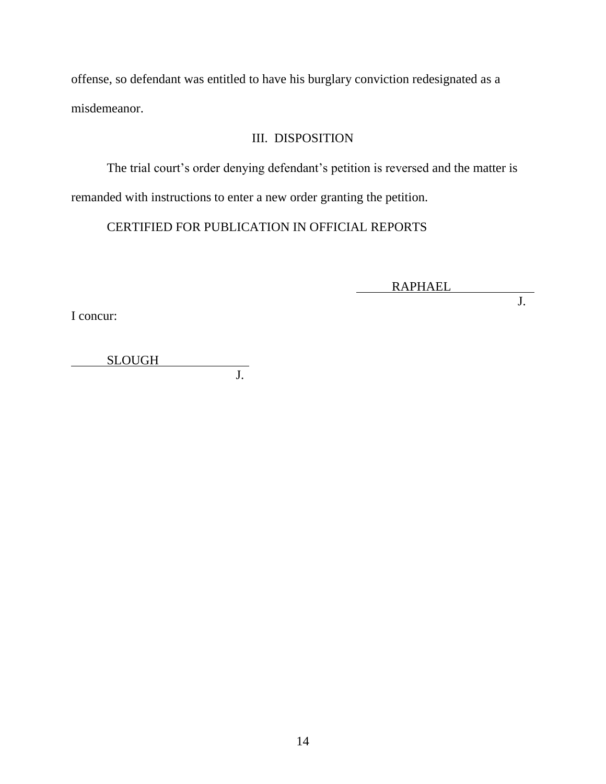offense, so defendant was entitled to have his burglary conviction redesignated as a misdemeanor.

## III. DISPOSITION

The trial court's order denying defendant's petition is reversed and the matter is

remanded with instructions to enter a new order granting the petition.

CERTIFIED FOR PUBLICATION IN OFFICIAL REPORTS

 $\overline{\phantom{a}}$ RAPHAEL

**J.** 

I concur:

SLOUGH J.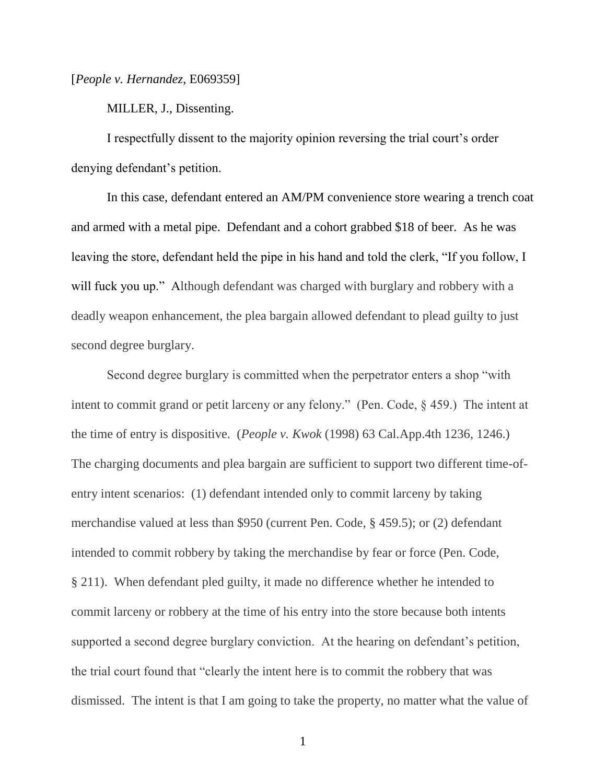[*People v. Hernandez*, E069359]

MILLER, J., Dissenting.

I respectfully dissent to the majority opinion reversing the trial court's order denying defendant's petition.

In this case, defendant entered an AM/PM convenience store wearing a trench coat and armed with a metal pipe. Defendant and a cohort grabbed \$18 of beer. As he was leaving the store, defendant held the pipe in his hand and told the clerk, "If you follow, I will fuck you up." Although defendant was charged with burglary and robbery with a deadly weapon enhancement, the plea bargain allowed defendant to plead guilty to just second degree burglary.

Second degree burglary is committed when the perpetrator enters a shop "with intent to commit grand or petit larceny or any felony." (Pen. Code, § 459.) The intent at the time of entry is dispositive. (*People v. Kwok* (1998) 63 Cal.App.4th 1236, 1246.) The charging documents and plea bargain are sufficient to support two different time-ofentry intent scenarios: (1) defendant intended only to commit larceny by taking merchandise valued at less than \$950 (current Pen. Code, § 459.5); or (2) defendant intended to commit robbery by taking the merchandise by fear or force (Pen. Code, § 211). When defendant pled guilty, it made no difference whether he intended to commit larceny or robbery at the time of his entry into the store because both intents supported a second degree burglary conviction. At the hearing on defendant's petition, the trial court found that "clearly the intent here is to commit the robbery that was dismissed. The intent is that I am going to take the property, no matter what the value of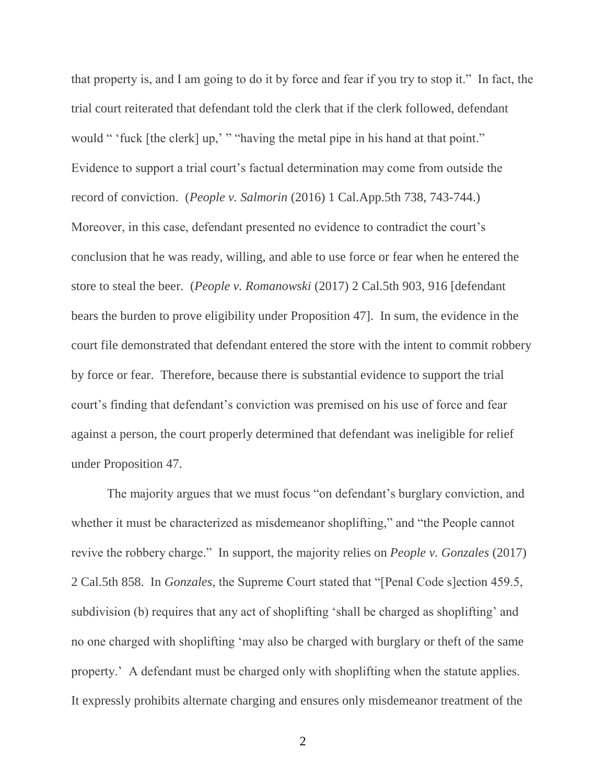that property is, and I am going to do it by force and fear if you try to stop it." In fact, the trial court reiterated that defendant told the clerk that if the clerk followed, defendant would " 'fuck [the clerk] up,' " "having the metal pipe in his hand at that point." Evidence to support a trial court's factual determination may come from outside the record of conviction. (*People v. Salmorin* (2016) 1 Cal.App.5th 738, 743-744.) Moreover, in this case, defendant presented no evidence to contradict the court's conclusion that he was ready, willing, and able to use force or fear when he entered the store to steal the beer. (*People v. Romanowski* (2017) 2 Cal.5th 903, 916 [defendant bears the burden to prove eligibility under Proposition 47]. In sum, the evidence in the court file demonstrated that defendant entered the store with the intent to commit robbery by force or fear. Therefore, because there is substantial evidence to support the trial court's finding that defendant's conviction was premised on his use of force and fear against a person, the court properly determined that defendant was ineligible for relief under Proposition 47.

The majority argues that we must focus "on defendant's burglary conviction, and whether it must be characterized as misdemeanor shoplifting," and "the People cannot revive the robbery charge." In support, the majority relies on *People v. Gonzales* (2017) 2 Cal.5th 858. In *Gonzales*, the Supreme Court stated that "[Penal Code s]ection 459.5, subdivision (b) requires that any act of shoplifting 'shall be charged as shoplifting' and no one charged with shoplifting 'may also be charged with burglary or theft of the same property.' A defendant must be charged only with shoplifting when the statute applies. It expressly prohibits alternate charging and ensures only misdemeanor treatment of the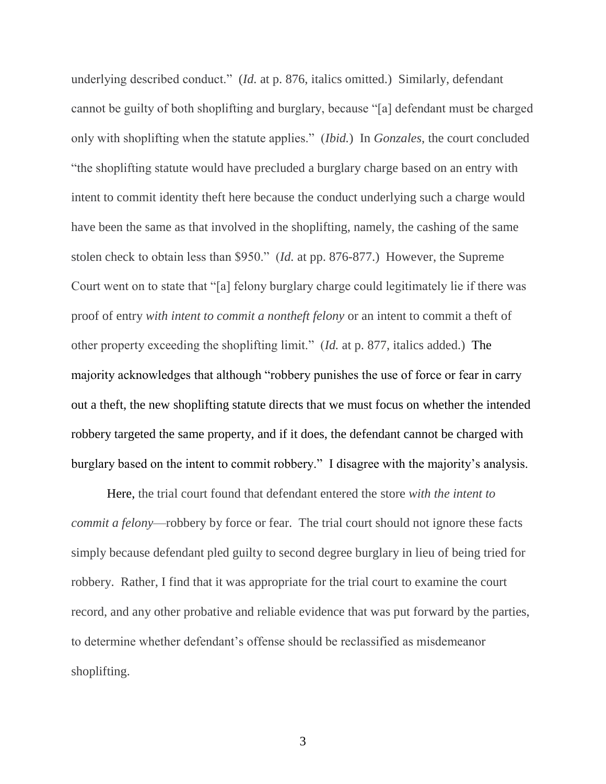underlying described conduct." (*Id.* at p. 876, italics omitted.) Similarly, defendant cannot be guilty of both shoplifting and burglary, because "[a] defendant must be charged only with shoplifting when the statute applies." (*Ibid.*) In *Gonzales*, the court concluded "the shoplifting statute would have precluded a burglary charge based on an entry with intent to commit identity theft here because the conduct underlying such a charge would have been the same as that involved in the shoplifting, namely, the cashing of the same stolen check to obtain less than \$950." (*Id.* at pp. 876-877.) However, the Supreme Court went on to state that "[a] felony burglary charge could legitimately lie if there was proof of entry *with intent to commit a nontheft felony* or an intent to commit a theft of other property exceeding the shoplifting limit." (*Id.* at p. 877, italics added.) The majority acknowledges that although "robbery punishes the use of force or fear in carry out a theft, the new shoplifting statute directs that we must focus on whether the intended robbery targeted the same property, and if it does, the defendant cannot be charged with burglary based on the intent to commit robbery." I disagree with the majority's analysis.

Here, the trial court found that defendant entered the store *with the intent to commit a felony*—robbery by force or fear. The trial court should not ignore these facts simply because defendant pled guilty to second degree burglary in lieu of being tried for robbery. Rather, I find that it was appropriate for the trial court to examine the court record, and any other probative and reliable evidence that was put forward by the parties, to determine whether defendant's offense should be reclassified as misdemeanor shoplifting.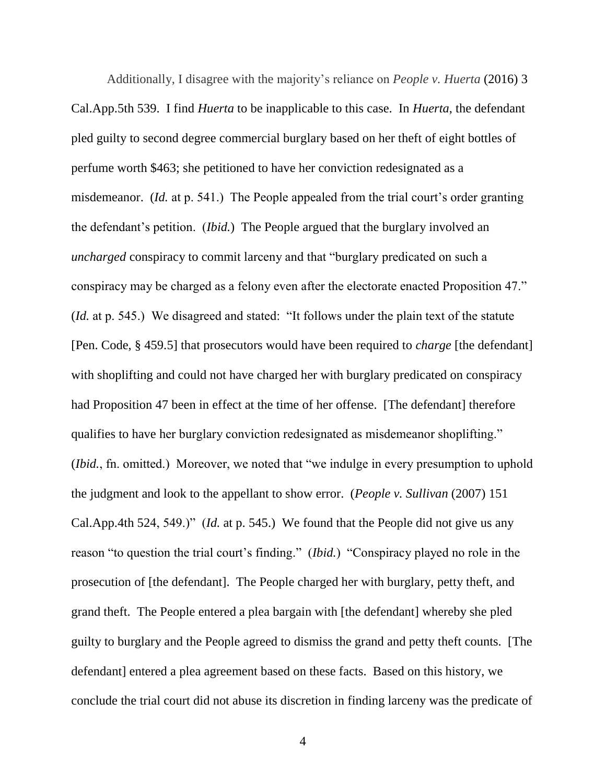Additionally, I disagree with the majority's reliance on *People v. Huerta* (2016) 3 Cal.App.5th 539. I find *Huerta* to be inapplicable to this case. In *Huerta*, the defendant pled guilty to second degree commercial burglary based on her theft of eight bottles of perfume worth \$463; she petitioned to have her conviction redesignated as a misdemeanor. (*Id.* at p. 541.) The People appealed from the trial court's order granting the defendant's petition. (*Ibid.*) The People argued that the burglary involved an *uncharged* conspiracy to commit larceny and that "burglary predicated on such a conspiracy may be charged as a felony even after the electorate enacted Proposition 47." (*Id.* at p. 545.) We disagreed and stated: "It follows under the plain text of the statute [Pen. Code, § 459.5] that prosecutors would have been required to *charge* [the defendant] with shoplifting and could not have charged her with burglary predicated on conspiracy had Proposition 47 been in effect at the time of her offense. [The defendant] therefore qualifies to have her burglary conviction redesignated as misdemeanor shoplifting." (*Ibid.*, fn. omitted.) Moreover, we noted that "we indulge in every presumption to uphold the judgment and look to the appellant to show error. (*People v. Sullivan* (2007) 151 Cal.App.4th 524, 549.)" (*Id.* at p. 545.) We found that the People did not give us any reason "to question the trial court's finding." (*Ibid.*) "Conspiracy played no role in the prosecution of [the defendant]. The People charged her with burglary, petty theft, and grand theft. The People entered a plea bargain with [the defendant] whereby she pled guilty to burglary and the People agreed to dismiss the grand and petty theft counts. [The defendant] entered a plea agreement based on these facts. Based on this history, we conclude the trial court did not abuse its discretion in finding larceny was the predicate of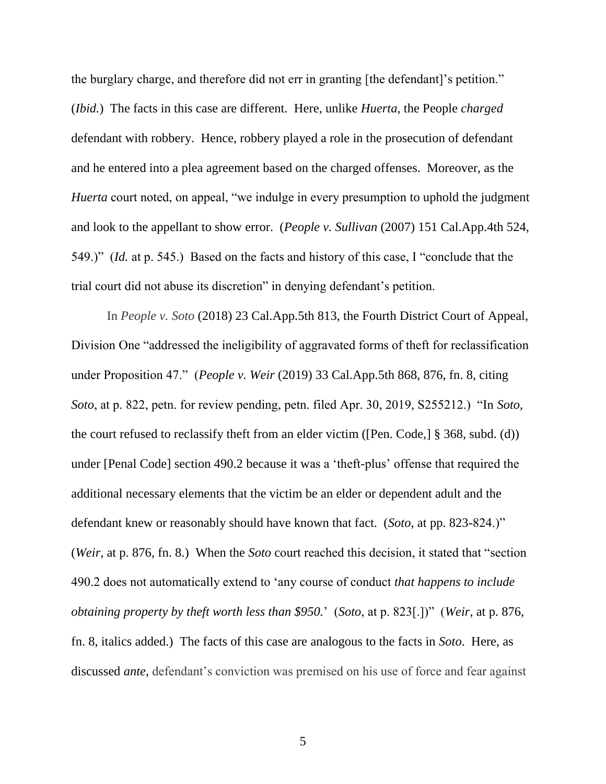the burglary charge, and therefore did not err in granting [the defendant]'s petition." (*Ibid.*) The facts in this case are different. Here, unlike *Huerta,* the People *charged* defendant with robbery. Hence, robbery played a role in the prosecution of defendant and he entered into a plea agreement based on the charged offenses. Moreover, as the *Huerta* court noted, on appeal, "we indulge in every presumption to uphold the judgment and look to the appellant to show error. (*People v. Sullivan* (2007) 151 Cal.App.4th 524, 549.)" (*Id.* at p. 545.) Based on the facts and history of this case, I "conclude that the trial court did not abuse its discretion" in denying defendant's petition.

In *People v. Soto* (2018) 23 Cal.App.5th 813, the Fourth District Court of Appeal, Division One "addressed the ineligibility of aggravated forms of theft for reclassification under Proposition 47." (*People v. Weir* (2019) 33 Cal.App.5th 868, 876, fn. 8, citing *Soto*, at p. 822, petn. for review pending, petn. filed Apr. 30, 2019, S255212.) "In *Soto*, the court refused to reclassify theft from an elder victim ([Pen. Code,] § 368, subd. (d)) under [Penal Code] section 490.2 because it was a 'theft-plus' offense that required the additional necessary elements that the victim be an elder or dependent adult and the defendant knew or reasonably should have known that fact. (*Soto*, at pp. 823-824.)" (*Weir*, at p. 876, fn. 8.) When the *Soto* court reached this decision, it stated that "section 490.2 does not automatically extend to 'any course of conduct *that happens to include obtaining property by theft worth less than \$950.*' (*Soto*, at p. 823[.])" (*Weir*, at p. 876, fn. 8, italics added.) The facts of this case are analogous to the facts in *Soto*. Here, as discussed *ante*, defendant's conviction was premised on his use of force and fear against